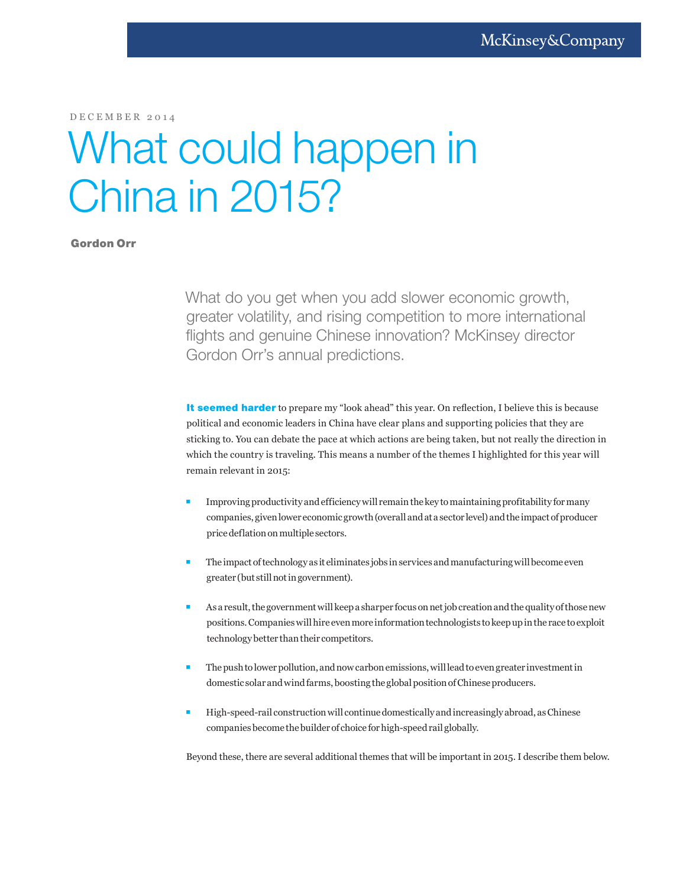DECEMBER 2014

# What could happen in China in 2015?

# Gordon Orr

What do you get when you add slower economic growth, greater volatility, and rising competition to more international flights and genuine Chinese innovation? McKinsey director Gordon Orr's annual predictions.

It seemed harder to prepare my "look ahead" this year. On reflection, I believe this is because political and economic leaders in China have clear plans and supporting policies that they are sticking to. You can debate the pace at which actions are being taken, but not really the direction in which the country is traveling. This means a number of the themes I highlighted for this year will remain relevant in 2015:

- Improving productivity and efficiency will remain the key to maintaining profitability for many companies, given lower economic growth (overall and at a sector level) and the impact of producer price deflation on multiple sectors.
- The impact of technology as it eliminates jobs in services and manufacturing will become even greater (but still not in government).
- As a result, the government will keep a sharper focus on net job creation and the quality of those new positions. Companies will hire even more information technologists to keep up in the race to exploit technology better than their competitors.
- The push to lower pollution, and now carbon emissions, will lead to even greater investment in domestic solar and wind farms, boosting the global position of Chinese producers.
- **High-speed-rail construction will continue domestically and increasingly abroad, as Chinese** companies become the builder of choice for high-speed rail globally.

Beyond these, there are several additional themes that will be important in 2015. I describe them below.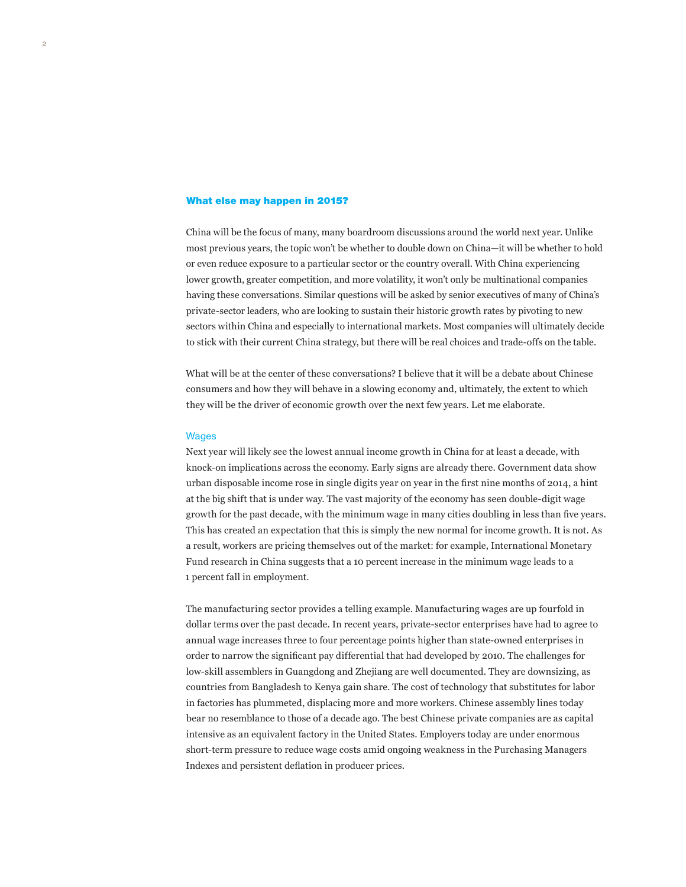#### What else may happen in 2015?

China will be the focus of many, many boardroom discussions around the world next year. Unlike most previous years, the topic won't be whether to double down on China—it will be whether to hold or even reduce exposure to a particular sector or the country overall. With China experiencing lower growth, greater competition, and more volatility, it won't only be multinational companies having these conversations. Similar questions will be asked by senior executives of many of China's private-sector leaders, who are looking to sustain their historic growth rates by pivoting to new sectors within China and especially to international markets. Most companies will ultimately decide to stick with their current China strategy, but there will be real choices and trade-offs on the table.

What will be at the center of these conversations? I believe that it will be a debate about Chinese consumers and how they will behave in a slowing economy and, ultimately, the extent to which they will be the driver of economic growth over the next few years. Let me elaborate.

#### **Wages**

Next year will likely see the lowest annual income growth in China for at least a decade, with knock-on implications across the economy. Early signs are already there. Government data show urban disposable income rose in single digits year on year in the first nine months of 2014, a hint at the big shift that is under way. The vast majority of the economy has seen double-digit wage growth for the past decade, with the minimum wage in many cities doubling in less than five years. This has created an expectation that this is simply the new normal for income growth. It is not. As a result, workers are pricing themselves out of the market: for example, International Monetary Fund research in China suggests that a 10 percent increase in the minimum wage leads to a 1 percent fall in employment.

The manufacturing sector provides a telling example. Manufacturing wages are up fourfold in dollar terms over the past decade. In recent years, private-sector enterprises have had to agree to annual wage increases three to four percentage points higher than state-owned enterprises in order to narrow the significant pay differential that had developed by 2010. The challenges for low-skill assemblers in Guangdong and Zhejiang are well documented. They are downsizing, as countries from Bangladesh to Kenya gain share. The cost of technology that substitutes for labor in factories has plummeted, displacing more and more workers. Chinese assembly lines today bear no resemblance to those of a decade ago. The best Chinese private companies are as capital intensive as an equivalent factory in the United States. Employers today are under enormous short-term pressure to reduce wage costs amid ongoing weakness in the Purchasing Managers Indexes and persistent deflation in producer prices.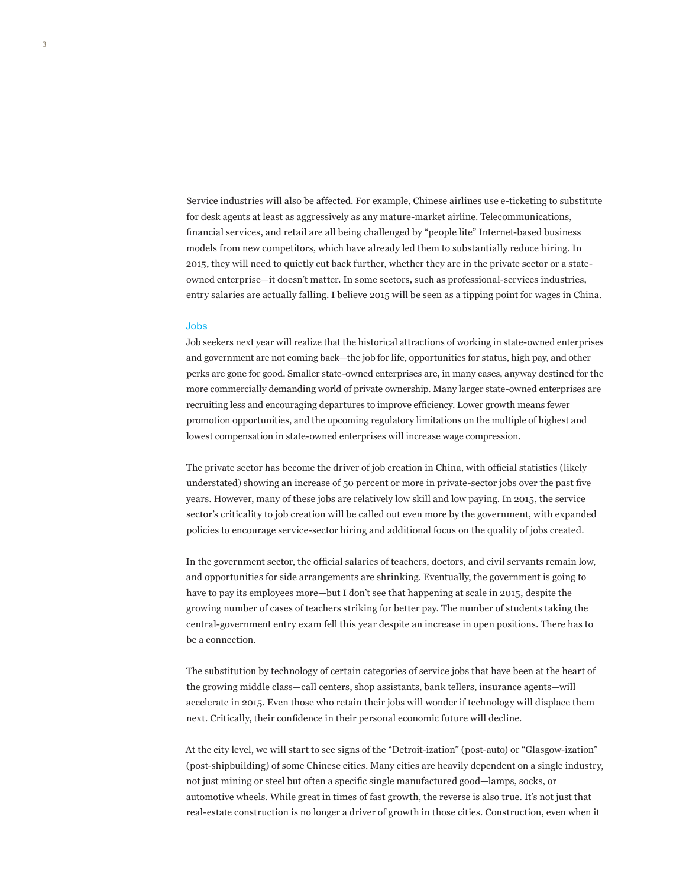Service industries will also be affected. For example, Chinese airlines use e-ticketing to substitute for desk agents at least as aggressively as any mature-market airline. Telecommunications, financial services, and retail are all being challenged by "people lite" Internet-based business models from new competitors, which have already led them to substantially reduce hiring. In 2015, they will need to quietly cut back further, whether they are in the private sector or a stateowned enterprise—it doesn't matter. In some sectors, such as professional-services industries, entry salaries are actually falling. I believe 2015 will be seen as a tipping point for wages in China.

#### Jobs

Job seekers next year will realize that the historical attractions of working in state-owned enterprises and government are not coming back—the job for life, opportunities for status, high pay, and other perks are gone for good. Smaller state-owned enterprises are, in many cases, anyway destined for the more commercially demanding world of private ownership. Many larger state-owned enterprises are recruiting less and encouraging departures to improve efficiency. Lower growth means fewer promotion opportunities, and the upcoming regulatory limitations on the multiple of highest and lowest compensation in state-owned enterprises will increase wage compression.

The private sector has become the driver of job creation in China, with official statistics (likely understated) showing an increase of 50 percent or more in private-sector jobs over the past five years. However, many of these jobs are relatively low skill and low paying. In 2015, the service sector's criticality to job creation will be called out even more by the government, with expanded policies to encourage service-sector hiring and additional focus on the quality of jobs created.

In the government sector, the official salaries of teachers, doctors, and civil servants remain low, and opportunities for side arrangements are shrinking. Eventually, the government is going to have to pay its employees more—but I don't see that happening at scale in 2015, despite the growing number of cases of teachers striking for better pay. The number of students taking the central-government entry exam fell this year despite an increase in open positions. There has to be a connection.

The substitution by technology of certain categories of service jobs that have been at the heart of the growing middle class—call centers, shop assistants, bank tellers, insurance agents—will accelerate in 2015. Even those who retain their jobs will wonder if technology will displace them next. Critically, their confidence in their personal economic future will decline.

At the city level, we will start to see signs of the "Detroit-ization" (post-auto) or "Glasgow-ization" (post-shipbuilding) of some Chinese cities. Many cities are heavily dependent on a single industry, not just mining or steel but often a specific single manufactured good—lamps, socks, or automotive wheels. While great in times of fast growth, the reverse is also true. It's not just that real-estate construction is no longer a driver of growth in those cities. Construction, even when it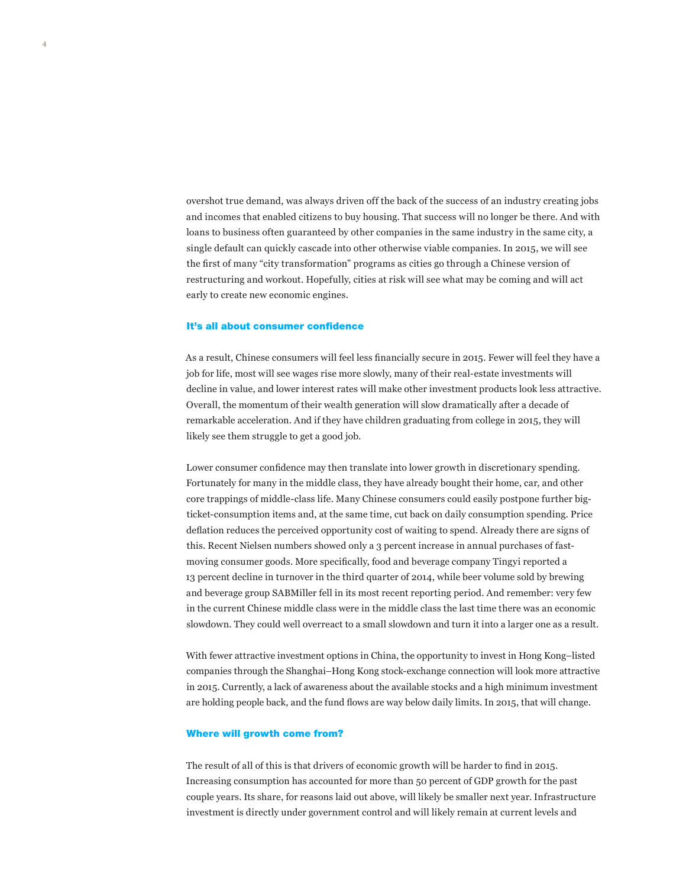overshot true demand, was always driven off the back of the success of an industry creating jobs and incomes that enabled citizens to buy housing. That success will no longer be there. And with loans to business often guaranteed by other companies in the same industry in the same city, a single default can quickly cascade into other otherwise viable companies. In 2015, we will see the first of many "city transformation" programs as cities go through a Chinese version of restructuring and workout. Hopefully, cities at risk will see what may be coming and will act early to create new economic engines.

#### It's all about consumer confidence

As a result, Chinese consumers will feel less financially secure in 2015. Fewer will feel they have a job for life, most will see wages rise more slowly, many of their real-estate investments will decline in value, and lower interest rates will make other investment products look less attractive. Overall, the momentum of their wealth generation will slow dramatically after a decade of remarkable acceleration. And if they have children graduating from college in 2015, they will likely see them struggle to get a good job.

Lower consumer confidence may then translate into lower growth in discretionary spending. Fortunately for many in the middle class, they have already bought their home, car, and other core trappings of middle-class life. Many Chinese consumers could easily postpone further bigticket-consumption items and, at the same time, cut back on daily consumption spending. Price deflation reduces the perceived opportunity cost of waiting to spend. Already there are signs of this. Recent Nielsen numbers showed only a 3 percent increase in annual purchases of fastmoving consumer goods. More specifically, food and beverage company Tingyi reported a 13 percent decline in turnover in the third quarter of 2014, while beer volume sold by brewing and beverage group SABMiller fell in its most recent reporting period. And remember: very few in the current Chinese middle class were in the middle class the last time there was an economic slowdown. They could well overreact to a small slowdown and turn it into a larger one as a result.

With fewer attractive investment options in China, the opportunity to invest in Hong Kong–listed companies through the Shanghai–Hong Kong stock-exchange connection will look more attractive in 2015. Currently, a lack of awareness about the available stocks and a high minimum investment are holding people back, and the fund flows are way below daily limits. In 2015, that will change.

#### Where will growth come from?

The result of all of this is that drivers of economic growth will be harder to find in 2015. Increasing consumption has accounted for more than 50 percent of GDP growth for the past couple years. Its share, for reasons laid out above, will likely be smaller next year. Infrastructure investment is directly under government control and will likely remain at current levels and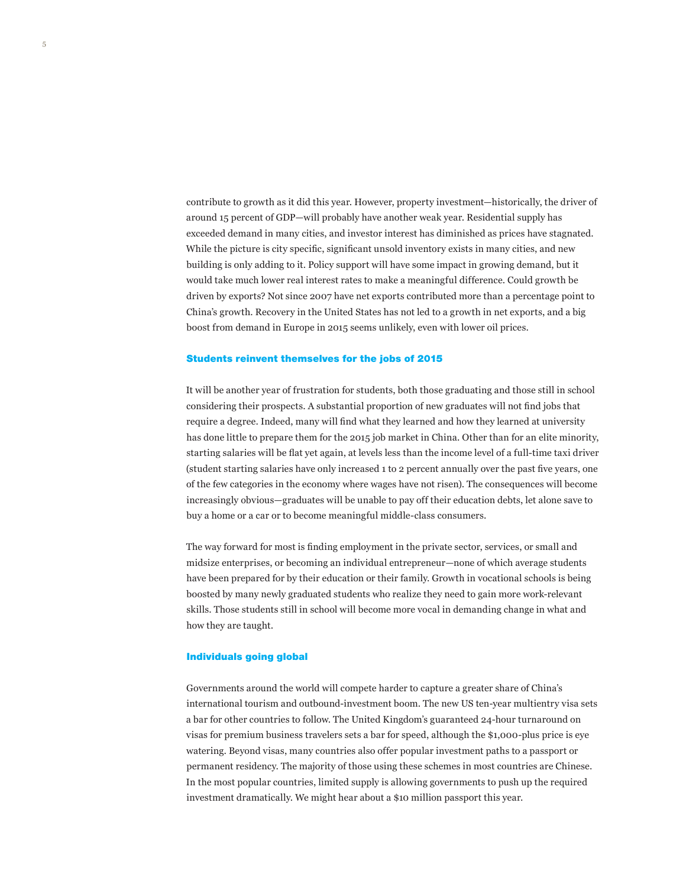contribute to growth as it did this year. However, property investment—historically, the driver of around 15 percent of GDP—will probably have another weak year. Residential supply has exceeded demand in many cities, and investor interest has diminished as prices have stagnated. While the picture is city specific, significant unsold inventory exists in many cities, and new building is only adding to it. Policy support will have some impact in growing demand, but it would take much lower real interest rates to make a meaningful difference. Could growth be driven by exports? Not since 2007 have net exports contributed more than a percentage point to China's growth. Recovery in the United States has not led to a growth in net exports, and a big boost from demand in Europe in 2015 seems unlikely, even with lower oil prices.

#### Students reinvent themselves for the jobs of 2015

It will be another year of frustration for students, both those graduating and those still in school considering their prospects. A substantial proportion of new graduates will not find jobs that require a degree. Indeed, many will find what they learned and how they learned at university has done little to prepare them for the 2015 job market in China. Other than for an elite minority, starting salaries will be flat yet again, at levels less than the income level of a full-time taxi driver (student starting salaries have only increased 1 to 2 percent annually over the past five years, one of the few categories in the economy where wages have not risen). The consequences will become increasingly obvious—graduates will be unable to pay off their education debts, let alone save to buy a home or a car or to become meaningful middle-class consumers.

The way forward for most is finding employment in the private sector, services, or small and midsize enterprises, or becoming an individual entrepreneur—none of which average students have been prepared for by their education or their family. Growth in vocational schools is being boosted by many newly graduated students who realize they need to gain more work-relevant skills. Those students still in school will become more vocal in demanding change in what and how they are taught.

### Individuals going global

Governments around the world will compete harder to capture a greater share of China's international tourism and outbound-investment boom. The new US ten-year multientry visa sets a bar for other countries to follow. The United Kingdom's guaranteed 24-hour turnaround on visas for premium business travelers sets a bar for speed, although the \$1,000-plus price is eye watering. Beyond visas, many countries also offer popular investment paths to a passport or permanent residency. The majority of those using these schemes in most countries are Chinese. In the most popular countries, limited supply is allowing governments to push up the required investment dramatically. We might hear about a \$10 million passport this year.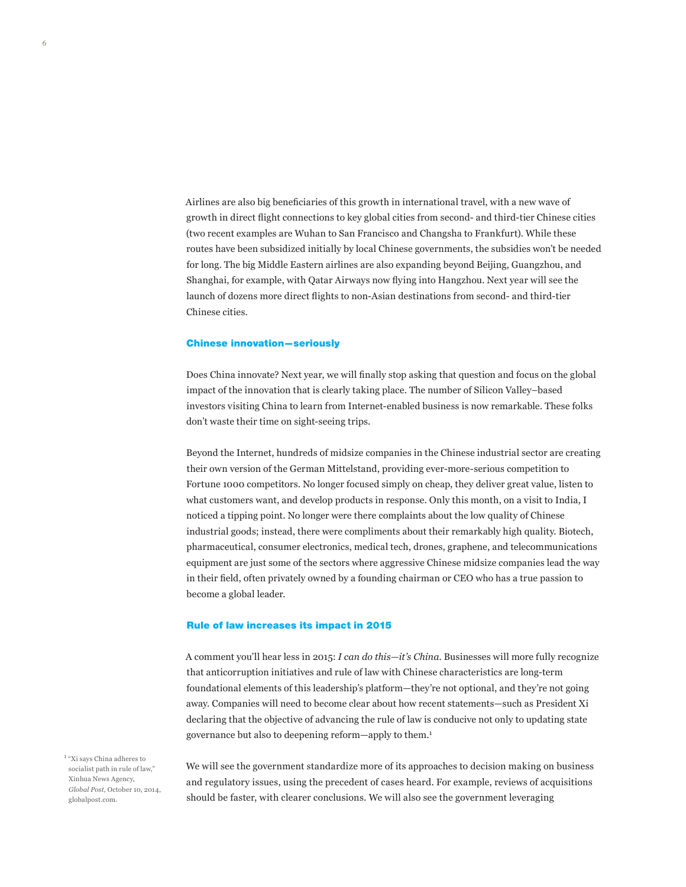Airlines are also big beneficiaries of this growth in international travel, with a new wave of growth in direct flight connections to key global cities from second- and third-tier Chinese cities (two recent examples are Wuhan to San Francisco and Changsha to Frankfurt). While these routes have been subsidized initially by local Chinese governments, the subsidies won't be needed for long. The big Middle Eastern airlines are also expanding beyond Beijing, Guangzhou, and Shanghai, for example, with Qatar Airways now flying into Hangzhou. Next year will see the launch of dozens more direct flights to non-Asian destinations from second- and third-tier Chinese cities.

#### Chinese innovation—seriously

Does China innovate? Next year, we will finally stop asking that question and focus on the global impact of the innovation that is clearly taking place. The number of Silicon Valley–based investors visiting China to learn from Internet-enabled business is now remarkable. These folks don't waste their time on sight-seeing trips.

Beyond the Internet, hundreds of midsize companies in the Chinese industrial sector are creating their own version of the German Mittelstand, providing ever-more-serious competition to Fortune 1000 competitors. No longer focused simply on cheap, they deliver great value, listen to what customers want, and develop products in response. Only this month, on a visit to India, I noticed a tipping point. No longer were there complaints about the low quality of Chinese industrial goods; instead, there were compliments about their remarkably high quality. Biotech, pharmaceutical, consumer electronics, medical tech, drones, graphene, and telecommunications equipment are just some of the sectors where aggressive Chinese midsize companies lead the way in their field, often privately owned by a founding chairman or CEO who has a true passion to become a global leader.

#### Rule of law increases its impact in 2015

A comment you'll hear less in 2015: *I can do this—it's China*. Businesses will more fully recognize that anticorruption initiatives and rule of law with Chinese characteristics are long-term foundational elements of this leadership's platform—they're not optional, and they're not going away. Companies will need to become clear about how recent statements—such as President Xi declaring that the objective of advancing the rule of law is conducive not only to updating state governance but also to deepening reform—apply to them.1

<sup>1</sup> "Xi says China adheres to socialist path in rule of law," Xinhua News Agency, *Global Post*, October 10, 2014, globalpost.com.

6

We will see the government standardize more of its approaches to decision making on business and regulatory issues, using the precedent of cases heard. For example, reviews of acquisitions should be faster, with clearer conclusions. We will also see the government leveraging